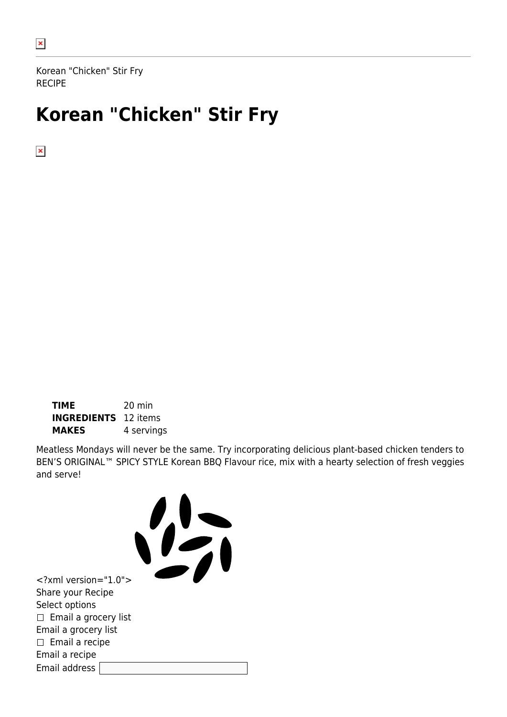Korean "Chicken" Stir Fry RECIPE

# **Korean "Chicken" Stir Fry**

 $\pmb{\times}$ 

**TIME** 20 min **INGREDIENTS** 12 items **MAKES** 4 servings

Meatless Mondays will never be the same. Try incorporating delicious plant-based chicken tenders to BEN'S ORIGINAL™ SPICY STYLE Korean BBQ Flavour rice, mix with a hearty selection of fresh veggies and serve!

<?xml version="1.0"> Share your Recipe Select options  $\Box$  Email a grocery list Email a grocery list  $\square$  Email a recipe Email a recipe Email address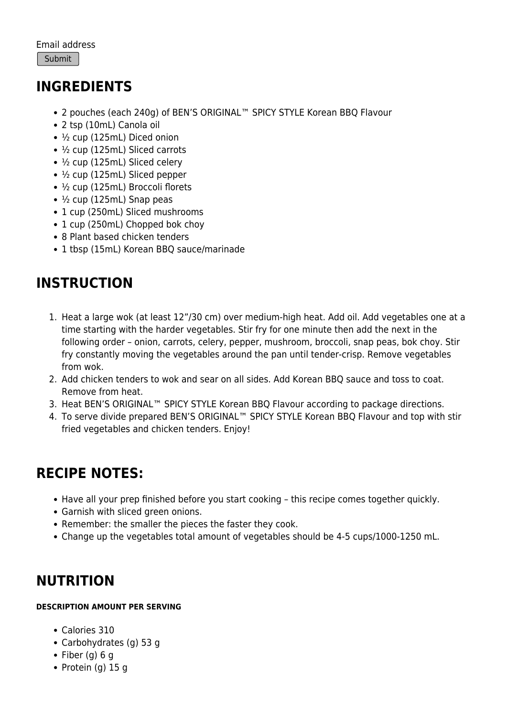### **INGREDIENTS**

- 2 pouches (each 240g) of BEN'S ORIGINAL™ SPICY STYLE Korean BBQ Flavour
- 2 tsp (10mL) Canola oil
- ½ cup (125mL) Diced onion
- ½ cup (125mL) Sliced carrots
- ½ cup (125mL) Sliced celery
- ½ cup (125mL) Sliced pepper
- ½ cup (125mL) Broccoli florets
- $\cdot$  ½ cup (125mL) Snap peas
- 1 cup (250mL) Sliced mushrooms
- 1 cup (250mL) Chopped bok choy
- 8 Plant based chicken tenders
- 1 tbsp (15mL) Korean BBQ sauce/marinade

## **INSTRUCTION**

- 1. Heat a large wok (at least 12"/30 cm) over medium-high heat. Add oil. Add vegetables one at a time starting with the harder vegetables. Stir fry for one minute then add the next in the following order – onion, carrots, celery, pepper, mushroom, broccoli, snap peas, bok choy. Stir fry constantly moving the vegetables around the pan until tender-crisp. Remove vegetables from wok.
- 2. Add chicken tenders to wok and sear on all sides. Add Korean BBQ sauce and toss to coat. Remove from heat.
- 3. Heat BEN'S ORIGINAL™ SPICY STYLE Korean BBQ Flavour according to package directions.
- 4. To serve divide prepared BEN'S ORIGINAL™ SPICY STYLE Korean BBQ Flavour and top with stir fried vegetables and chicken tenders. Enjoy!

### **RECIPE NOTES:**

- Have all your prep finished before you start cooking this recipe comes together quickly.
- Garnish with sliced green onions.
- Remember: the smaller the pieces the faster they cook.
- Change up the vegetables total amount of vegetables should be 4-5 cups/1000-1250 mL.

#### **NUTRITION**

#### **DESCRIPTION AMOUNT PER SERVING**

- Calories 310
- Carbohydrates (g) 53 g
- Fiber (g)  $6 g$
- Protein (g)  $15 g$